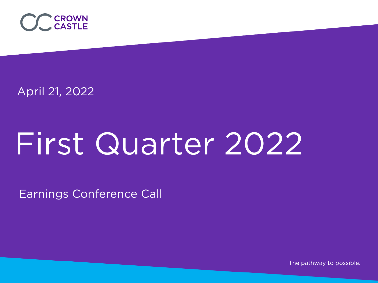

April 21, 2022

# First Quarter 2022

Earnings Conference Call

The pathway to possible.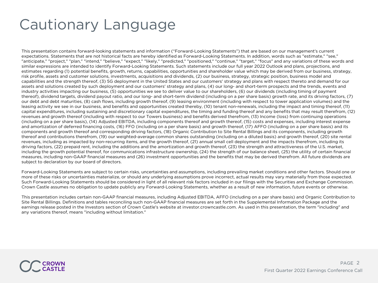# Cautionary Language

This presentation contains forward-looking statements and information ("Forward-Looking Statements") that are based on our management's current expectations. Statements that are not historical facts are hereby identified as Forward-Looking Statements. In addition, words such as "estimate," "see," "anticipate," "project," "plan," "intend," "believe," "expect," "likely," "predicted," "positioned," "continue," "target," "focus" and any variations of these words and similar expressions are intended to identify Forward-Looking Statements. Such statements include our full year 2022 Outlook and plans, projections, and estimates regarding (1) potential benefits, growth, returns, capabilities, opportunities and shareholder value which may be derived from our business, strategy, risk profile, assets and customer solutions, investments, acquisitions and dividends, (2) our business, strategy, strategic position, business model and capabilities and the strength thereof, (3) 5G deployment in the United States and our customers' strategy and plans with respect thereto and demand for our assets and solutions created by such deployment and our customers' strategy and plans, (4) our long- and short-term prospects and the trends, events and industry activities impacting our business, (5) opportunities we see to deliver value to our shareholders, (6) our dividends (including timing of payment thereof), dividend targets, dividend payout ratio, and our long- and short-term dividend (including on a per share basis) growth rate, and its driving factors, (7) our debt and debt maturities, (8) cash flows, including growth thereof, (9) leasing environment (including with respect to tower application volumes) and the leasing activity we see in our business, and benefits and opportunities created thereby, (10) tenant non-renewals, including the impact and timing thereof, (11) capital expenditures, including sustaining and discretionary capital expenditures, the timing and funding thereof and any benefits that may result therefrom, (12) revenues and growth thereof (including with respect to our Towers business) and benefits derived therefrom, (13) Income (loss) from continuing operations (including on a per share basis), (14) Adjusted EBITDA, including components thereof and growth thereof, (15) costs and expenses, including interest expense and amortization of deferred financing costs, (16) FFO (including on a per share basis) and growth thereof, (17) AFFO (including on a per share basis) and its components and growth thereof and corresponding driving factors, (18) Organic Contribution to Site Rental Billings and its components, including growth thereof and contributions therefrom, (19) our weighted-average common shares outstanding (including on a diluted basis) and growth thereof, (20) site rental revenues, including as impacted by non-recurring items, and the growth thereof, (21) annual small cell deployment and the impacts therefrom, including its driving factors, (22) prepaid rent, including the additions and the amortization and growth thereof, (23) the strength and attractiveness of the U.S. market, including the growth potential thereof, for communications infrastructure ownership, (24) the strength of our balance sheet, (25) the utility of certain financial measures, including non-GAAP financial measures and (26) investment opportunities and the benefits that may be derived therefrom. All future dividends are subject to declaration by our board of directors.

Forward-Looking Statements are subject to certain risks, uncertainties and assumptions, including prevailing market conditions and other factors. Should one or more of these risks or uncertainties materialize, or should any underlying assumptions prove incorrect, actual results may vary materially from those expected. Such Forward-Looking Statements should be considered in light of all relevant risk factors included in our filings with the Securities and Exchange Commission. Crown Castle assumes no obligation to update publicly any Forward-Looking Statements, whether as a result of new information, future events or otherwise.

This presentation includes certain non-GAAP financial measures, including Adjusted EBITDA, AFFO (including on a per share basis) and Organic Contribution to Site Rental Billings. Definitions and tables reconciling such non-GAAP financial measures are set forth in the Supplemental Information Package and the earnings release posted in the Investors section of Crown Castle's website at investor.crowncastle.com. As used in this presentation, the term "including" and any variations thereof, means "including without limitation."

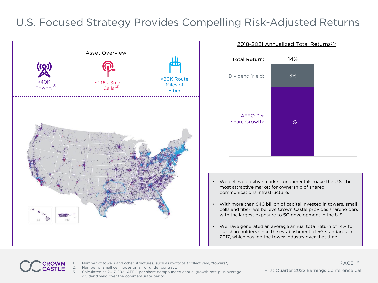#### U.S. Focused Strategy Provides Compelling Risk-Adjusted Returns



#### 2018-2021 Annualized Total Returns(3)



- We believe positive market fundamentals make the U.S. the most attractive market for ownership of shared communications infrastructure.
- With more than \$40 billion of capital invested in towers, small cells and fiber, we believe Crown Castle provides shareholders with the largest exposure to 5G development in the U.S.
- We have generated an average annual total return of 14% for our shareholders since the establishment of 5G standards in 2017, which has led the tower industry over that time.



- Number of towers and other structures, such as rooftops (collectively, "towers").
- Number of small cell nodes on air or under contract.
- 3. Calculated as 2017-2021 AFFO per share compounded annual growth rate plus average dividend yield over the commensurate period.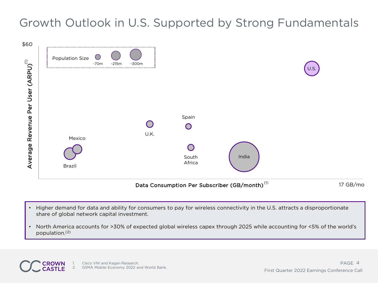### Growth Outlook in U.S. Supported by Strong Fundamentals



- Higher demand for data and ability for consumers to pay for wireless connectivity in the U.S. attracts a disproportionate share of global network capital investment.
- North America accounts for >30% of expected global wireless capex through 2025 while accounting for <5% of the world's population. (2)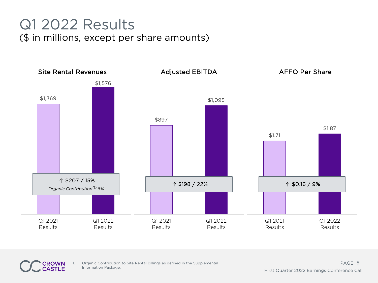## Q1 2022 Results (\$ in millions, except per share amounts)



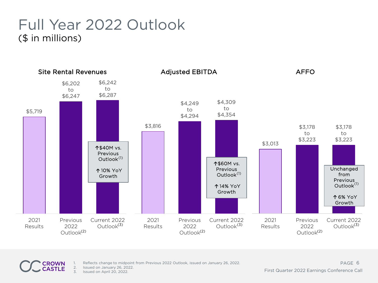### Full Year 2022 Outlook (\$ in millions)





2. Issued on January 26, 2022.<br>3. Issued on April 20, 2022.

Issued on April 20, 2022.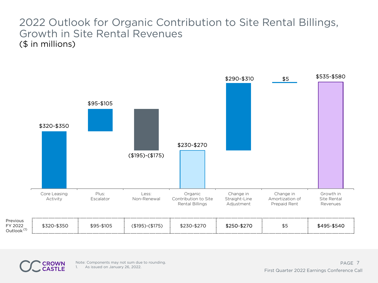#### 2022 Outlook for Organic Contribution to Site Rental Billings, Growth in Site Rental Revenues (\$ in millions)